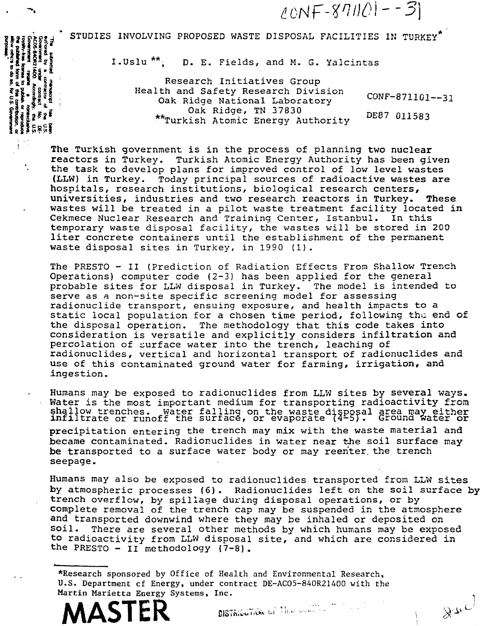$[20NF-87110] = -3$ 

STUDIES INVOLVING PROPOSED WASTE DISPOSAL FACILITIES IN TURKEY\*

I.Uslu\*\*, D. E. Fields, and M. G. Yalcintas

Research Initiatives Group Health and Safety Research Division Oak Ridge National Laboratory<br>Oak Ridge National Laboratory<br>Oak Ridge, TN 37830 Oak Ridge, TN 37830<br>ish Atamic Program Authority - DE87 01158 ^Turkish Atomic Energy Authority

The Turkish government is in the process of planning two nuclear reactors in Turkey. Turkish Atomic Energy Authority has been given the task to develop plans for improved control of low level wastes (LLW) in Turkey. Today principal sources of radioactive wastes are hospitals, research institutions, biological research centers, universities, industries and two research reactors in Turkey. These wastes will be treated in a pilot waste treatment facility located in Cekmece Nuclear Research and Training Center, Istanbul. In this temporary waste disposal facility, the wastes will be stored in 200 liter concrete containers until the establishment of the permanent waste disposal sites in Turkey, in 1990 (1).

The PRESTO - II (Prediction of Radiation Effects From Shallow Trench Operations) computer code (2-3) has been applied for the general probable sites for LLW disposal in Turkey. The model is intended to serve as a non-site specific screening model for assessing radionuclide transport, ensuing exposure, and health impacts to a static local population for a chosen time period, following the end of the disposal operation. The methodology that this code takes into consideration is versatile and explicitly considers infiltration and percolation of surface water into the trench, leaching of radionuclides, vertical and horizontal transport of radionuclides and use of this contaminated ground water for farming, irrigation, and ingestion.

Humans may be exposed to radionuclides from LLW sites by several ways. Water is the most important medium for transporting radioactivity from shallow trenches. Water falling on the waste disposal area may either infiltrate or runoff the surface, or evaporate (4-5). Ground water or precipitation entering the trench may mix with the waste material and became contaminated. Radionuclides in water near the soil surface may be transported to a surface water body or may reenter the trench seepage.

Humans may also be exposed to radionuclides transported from LLW sites by atmospheric processes (6). Radionuclides left on the soil surface by trench overflow, by spillage during disposal operations, or by complete removal of the trench cap may be suspended in the atmosphere and transported downwind where they may be inhaled or deposited on soil. There are several other methods by which humans may be export There are several other methods by which humans may be exposed to radioactivity from LLW disposal site, and which are considered in the PRESTO  $-$  II methodology (7-8).

\*Research sponsored by Office of Health and Environmental Research, U.S. Department cf Energy, under contract DE-ACO5-840R214O0 with the Martin Marietta Energy Systems, Inc.



**Krist has be**<br>**Mr Commodal**<br>**Michigh, the United States**<br>**Michigh, Commodal**<br>**Michighnen**<br>U.S. Governmen<br>U.S. Governmen<br>U.S. Governmen

ទី១៩និ ₹

 $\frac{1}{2}$  $\frac{1}{2}$  $\frac{1}{2}$  $\frac{1}{2}$  $\frac{1}{2}$ 

 $23g$ 

BISTAILUTION LE THIN LOWER

 $84$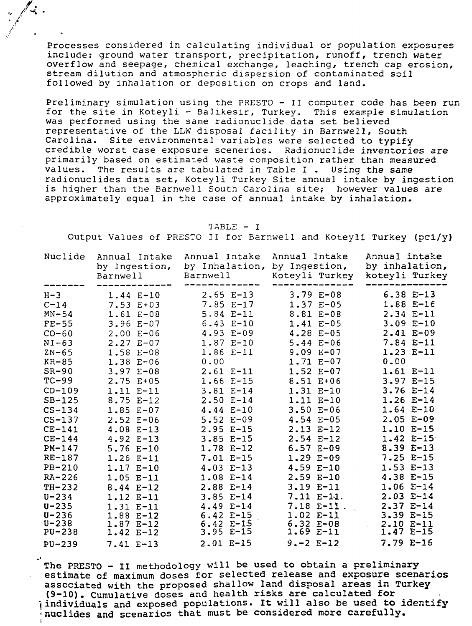Processes considered in calculating individual or population exposures include: ground water transport, precipitation, runoff, trench water overflow and seepage, chemical exchange, leaching, trench cap erosion, stream dilution and atmospheric dispersion of contaminated soil followed by inhalation or deposition on crops and land.

 $\mathbb{Z}_4$  .

Preliminary simulation using the PRESTO - II computer code has been run for the site in Koteyli - Balikesir, Turkey. This example simulation was performed using the same radionuclide data set believed representative of the LLW disposal facility in Barnwell, South Carolina. Site environmental variables were selected to typify credible worst case exposure scenerios. Radionuclide inventories are primarily based on estimated waste composition rather than measured values. The results are tabulated in Table I . Using the same radionuclides data set, Koteyli Turkey Site annual intake by ingestion is higher than the Barnwell South Carolina site; however values are approximately equal in the case of annual intake by inhalation.

## TABLE - I

Output Values of PRESTO II for Barnwell and Koteyli Turkey (pci/yj

| Nuclide   | Annual Intake<br>by Ingestion,<br>Barnwell | Annual Intake Annual Intake<br>by Inhalation, by Ingestion,<br>Barnwell | Koteyli Turkey | Annual intake<br>by inhalation,<br>koteyli Turkey |
|-----------|--------------------------------------------|-------------------------------------------------------------------------|----------------|---------------------------------------------------|
| $H-3$     | $1.44 E-10$                                | $2.65 E-13$                                                             | $3.79 E - 08$  | $6.38 E-13$                                       |
| $C-14$    | $7.53 E+03$                                | 7.85 E-17                                                               | $1.37 E - 05$  | $1.88 E-16$                                       |
| $MN-54$   | $1.61 E-08$                                | $5.84 E-11$                                                             | 8.81 E-08      | $2.34 E-11$                                       |
| $FE-55$   | $3.96 E-07$                                | $6.43 E-10$                                                             | $1.41 E-05$    | $3.09$ $E-10$                                     |
| $CO-60$   | $2.00 E - 06$                              | $4.93 E - 09$                                                           | $4.28 E - 05$  | $2.41 E - 09$                                     |
| $NI-63$   | $2.27 E-07$                                | $1.87 E-10$                                                             | $5.44 E - 06$  | 7.84 E-11                                         |
| $2N-65$   | $1.58 E - 08$                              | $1.86 E-11$                                                             | $9.09 E-07$    | $1.23 E-11$                                       |
| $KR-85$   | $1.38 E-06$                                | 0.00                                                                    | $1.71 E-07$    | 0.00                                              |
| $SR-90$   | $3.97 E-08$                                | $2.61 E-11$                                                             | $1.52 E-07$    | $1.61 E-11$                                       |
| $TC-99$   | 2.75 E+05                                  | $1.66 E-15$                                                             | 8.51 E+06      | $3.97 E-15$                                       |
| $CD-109$  | 1.11 E-11                                  | 3.81 E-14                                                               | $1.31 E-10$    | $3.76 E-14$                                       |
| $SB-125$  | $8.75 E-12$                                | $2.50 E-14$                                                             | $1.11 E-10$    | $1.26$ E-14                                       |
| $CS-134$  | $1.85 E-07$                                | $4.44 E-10$                                                             | $3.50 E - 06$  | $1.64 E-10$                                       |
| $CS-137$  | $2.52 E-06$                                | $5.52 E-09$                                                             | $4.54 E - 05$  | $2.05 E-09$                                       |
| $CE-141$  | $4.08 E-13$                                | $2.95 E-15$                                                             | $2.13 E-12$    | $1.10 E-15$                                       |
| $CE-144$  | $4.92 E-13$                                | $3.85 E-15$                                                             | $2.54 E-12$    | $1.42 E-15$                                       |
| $PM-147$  | $5.76 E-10$                                | $1.78 E-12$                                                             | $6.57 E-09$    | $8.39 E-13$                                       |
| $RE-187$  | $1.26 E-11$                                | $7.01 E-15$                                                             | $1.29 E - 09$  | $7.25$ E-15                                       |
| PB-210    | $1.17 E-10$                                | $4.03 E-13$                                                             | $4.59 E-10$    | $1.53 E-13$                                       |
| $RA-226$  | $1.05 E-11$                                | $1.08 E-14$                                                             | $2.59 E-10$    | $4.38 E-15$                                       |
| $TH-232$  | 8.44 E-12                                  | $2.88 E-14$                                                             | $3.19 E-11$    | $1.06 E-14$                                       |
| $U - 234$ | $1.12 E-11$                                | $3.85 E-14$                                                             | $7.11 E-11.$   | $2.03 E-14$                                       |
| $U - 235$ | $1.31 E-11$                                | $4.49 E-14$                                                             | $7.18$ E-11.   | $2.37 E-14$                                       |
| $U - 236$ | 1.88 E-12                                  | $6.42 E-15$                                                             | $1.02 E-11$    | $3.39 E-15$                                       |
| $U - 238$ | $1.87 E-12$                                | $6.42 E-15$                                                             | $6.32 E - 08$  | $2.10 E-11$                                       |
| $PU-238$  | $1.42 E-12$                                | $3.95 E-15$                                                             | $1.69 E-11$    | $1.47 E-15$                                       |
| $PU-239$  | $7.41 E-13$                                | $2.01$ E-15                                                             | $9 - 2 E - 12$ | 7.79 E-16                                         |

The PRESTO - II methodology will be used to obtain a preliminary estimate of maximum doses for selected release and exposure scenarios associated with the proposed shallow land disposal areas in Turkey (9-10). Cumulative doses and health risks are calculated for Iindividuals and exposed populations. It will also be used to identify ;nuclides and scenarios that must be considered more carefully.